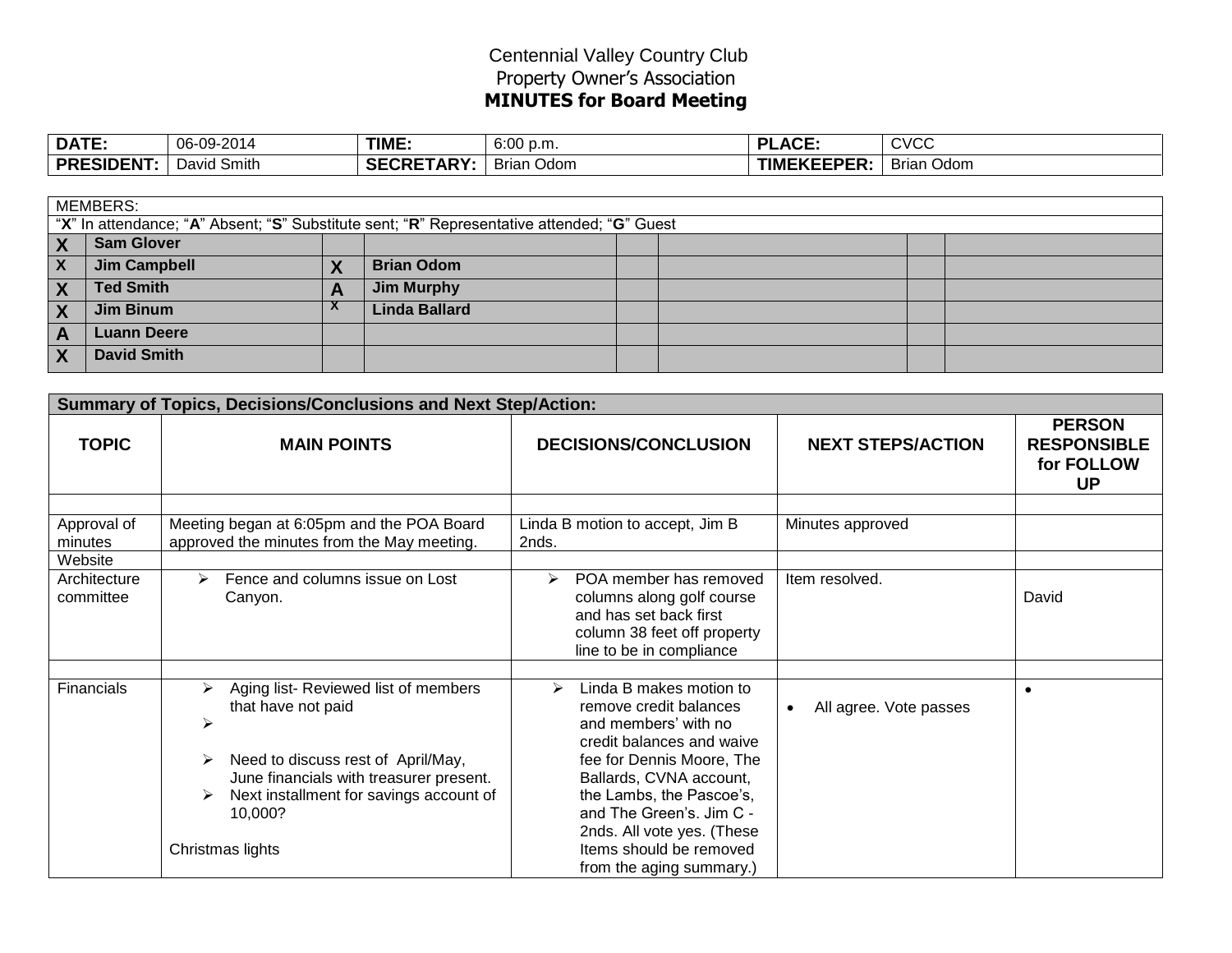## Centennial Valley Country Club Property Owner's Association **MINUTES for Board Meeting**

| DATE:            | 06-09-2014  | TIME.             | 6:00 p.m.            | <b>.ACE:</b><br>וח | <b>CVCC</b>       |
|------------------|-------------|-------------------|----------------------|--------------------|-------------------|
| <b>PRESIDENT</b> | David Smith | <b>SECRETARY:</b> | <b>Brian</b><br>Odom | <b>TIMEKEEPER:</b> | <b>Brian Odom</b> |

|                         | <b>MEMBERS:</b>                                                                            |                        |                      |  |  |  |  |  |  |
|-------------------------|--------------------------------------------------------------------------------------------|------------------------|----------------------|--|--|--|--|--|--|
|                         | "X" In attendance; "A" Absent; "S" Substitute sent; "R" Representative attended; "G" Guest |                        |                      |  |  |  |  |  |  |
| $\mathbf{X}$            | <b>Sam Glover</b>                                                                          |                        |                      |  |  |  |  |  |  |
| $\mathbf{X}$            | <b>Jim Campbell</b>                                                                        |                        | <b>Brian Odom</b>    |  |  |  |  |  |  |
| $\mathsf{I} \mathsf{X}$ | <b>Ted Smith</b>                                                                           |                        | <b>Jim Murphy</b>    |  |  |  |  |  |  |
| <b>X</b>                | <b>Jim Binum</b>                                                                           | $\boldsymbol{\Lambda}$ | <b>Linda Ballard</b> |  |  |  |  |  |  |
| $\overline{A}$          | <b>Luann Deere</b>                                                                         |                        |                      |  |  |  |  |  |  |
| $\overline{X}$          | <b>David Smith</b>                                                                         |                        |                      |  |  |  |  |  |  |

|                           | <b>Summary of Topics, Decisions/Conclusions and Next Step/Action:</b>                                                                                                                                                                    |                                                                                                                                                                                                                                                                                                                                      |                          |                                                                |
|---------------------------|------------------------------------------------------------------------------------------------------------------------------------------------------------------------------------------------------------------------------------------|--------------------------------------------------------------------------------------------------------------------------------------------------------------------------------------------------------------------------------------------------------------------------------------------------------------------------------------|--------------------------|----------------------------------------------------------------|
| <b>TOPIC</b>              | <b>DECISIONS/CONCLUSION</b><br><b>MAIN POINTS</b>                                                                                                                                                                                        |                                                                                                                                                                                                                                                                                                                                      | <b>NEXT STEPS/ACTION</b> | <b>PERSON</b><br><b>RESPONSIBLE</b><br>for FOLLOW<br><b>UP</b> |
|                           |                                                                                                                                                                                                                                          |                                                                                                                                                                                                                                                                                                                                      |                          |                                                                |
| Approval of<br>minutes    | Meeting began at 6:05pm and the POA Board<br>approved the minutes from the May meeting.                                                                                                                                                  | Linda B motion to accept, Jim B<br>2nds.                                                                                                                                                                                                                                                                                             | Minutes approved         |                                                                |
| Website                   |                                                                                                                                                                                                                                          |                                                                                                                                                                                                                                                                                                                                      |                          |                                                                |
| Architecture<br>committee | Fence and columns issue on Lost<br>⋗<br>Canyon.                                                                                                                                                                                          | POA member has removed<br>➤<br>columns along golf course<br>and has set back first<br>column 38 feet off property<br>line to be in compliance                                                                                                                                                                                        | Item resolved.           | David                                                          |
|                           |                                                                                                                                                                                                                                          |                                                                                                                                                                                                                                                                                                                                      |                          |                                                                |
| Financials                | Aging list-Reviewed list of members<br>⋗<br>that have not paid<br>➤<br>Need to discuss rest of April/May,<br>≻<br>June financials with treasurer present.<br>Next installment for savings account of<br>➤<br>10,000?<br>Christmas lights | Linda B makes motion to<br>$\blacktriangleright$<br>remove credit balances<br>and members' with no<br>credit balances and waive<br>fee for Dennis Moore, The<br>Ballards, CVNA account,<br>the Lambs, the Pascoe's,<br>and The Green's. Jim C -<br>2nds. All vote yes. (These<br>Items should be removed<br>from the aging summary.) | All agree. Vote passes   | $\bullet$                                                      |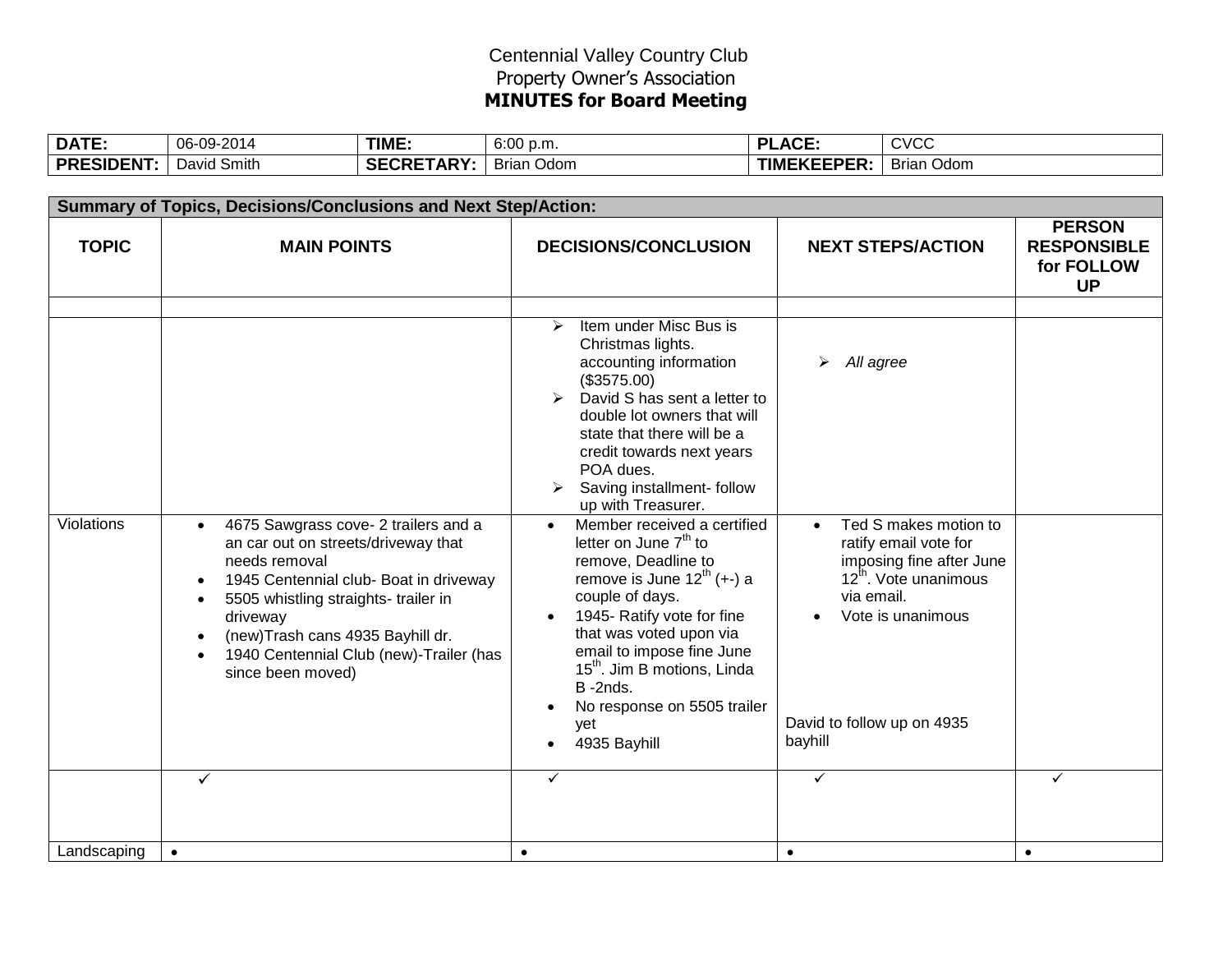## Centennial Valley Country Club Property Owner's Association **MINUTES for Board Meeting**

| DATE.            | 06-09-2014  | TIME.            | 6:00 p.m.     | $\Lambda$ ce<br>ות<br>А∪∟. | CVCC                        |
|------------------|-------------|------------------|---------------|----------------------------|-----------------------------|
| <b>PRESIDENT</b> | David Smith | <b>SECRETARY</b> | Odom<br>Brian | <b>TIMEKEEPER:</b>         | - -<br><b>Brian</b><br>Odom |

|                   | <b>Summary of Topics, Decisions/Conclusions and Next Step/Action:</b>                                                                                                                                                                                                                                                    |                                                                                                                                                                                                                                                                                                                                                        |                                                                                                                                                                                             |                                                                |
|-------------------|--------------------------------------------------------------------------------------------------------------------------------------------------------------------------------------------------------------------------------------------------------------------------------------------------------------------------|--------------------------------------------------------------------------------------------------------------------------------------------------------------------------------------------------------------------------------------------------------------------------------------------------------------------------------------------------------|---------------------------------------------------------------------------------------------------------------------------------------------------------------------------------------------|----------------------------------------------------------------|
| <b>TOPIC</b>      | <b>MAIN POINTS</b>                                                                                                                                                                                                                                                                                                       | <b>DECISIONS/CONCLUSION</b>                                                                                                                                                                                                                                                                                                                            | <b>NEXT STEPS/ACTION</b>                                                                                                                                                                    | <b>PERSON</b><br><b>RESPONSIBLE</b><br>for FOLLOW<br><b>UP</b> |
|                   |                                                                                                                                                                                                                                                                                                                          |                                                                                                                                                                                                                                                                                                                                                        |                                                                                                                                                                                             |                                                                |
|                   |                                                                                                                                                                                                                                                                                                                          | Item under Misc Bus is<br>➤<br>Christmas lights.<br>accounting information<br>(\$3575.00)<br>David S has sent a letter to<br>double lot owners that will<br>state that there will be a<br>credit towards next years<br>POA dues.<br>Saving installment- follow<br>up with Treasurer.                                                                   | All agree                                                                                                                                                                                   |                                                                |
| <b>Violations</b> | 4675 Sawgrass cove- 2 trailers and a<br>$\bullet$<br>an car out on streets/driveway that<br>needs removal<br>1945 Centennial club- Boat in driveway<br>5505 whistling straights- trailer in<br>$\bullet$<br>driveway<br>(new)Trash cans 4935 Bayhill dr.<br>1940 Centennial Club (new)-Trailer (has<br>since been moved) | Member received a certified<br>letter on June 7 <sup>th</sup> to<br>remove, Deadline to<br>remove is June $12^{\text{th}}$ (+-) a<br>couple of days.<br>1945- Ratify vote for fine<br>that was voted upon via<br>email to impose fine June<br>15 <sup>th</sup> . Jim B motions, Linda<br>B-2nds.<br>No response on 5505 trailer<br>yet<br>4935 Bayhill | Ted S makes motion to<br>ratify email vote for<br>imposing fine after June<br>12 <sup>th</sup> . Vote unanimous<br>via email.<br>Vote is unanimous<br>David to follow up on 4935<br>bayhill |                                                                |
|                   | $\checkmark$                                                                                                                                                                                                                                                                                                             | ✓                                                                                                                                                                                                                                                                                                                                                      | $\checkmark$                                                                                                                                                                                | $\checkmark$                                                   |
| Landscaping       | $\bullet$                                                                                                                                                                                                                                                                                                                | $\bullet$                                                                                                                                                                                                                                                                                                                                              | $\bullet$                                                                                                                                                                                   | $\bullet$                                                      |